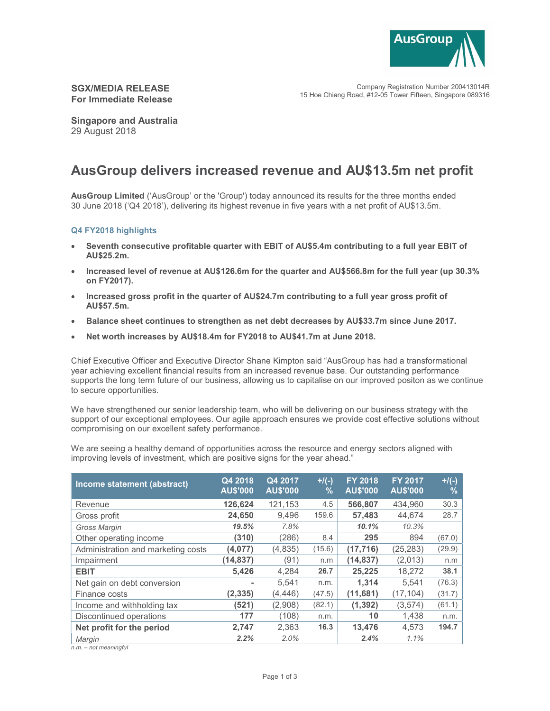

Company Registration Number 200413014R 15 Hoe Chiang Road, #12-05 Tower Fifteen, Singapore 089316

# SGX/MEDIA RELEASE For Immediate Release

Singapore and Australia 29 August 2018

# AusGroup delivers increased revenue and AU\$13.5m net profit

AusGroup Limited ('AusGroup' or the 'Group') today announced its results for the three months ended 30 June 2018 ('Q4 2018'), delivering its highest revenue in five years with a net profit of AU\$13.5m.

## Q4 FY2018 highlights

- Seventh consecutive profitable quarter with EBIT of AU\$5.4m contributing to a full year EBIT of AU\$25.2m.
- Increased level of revenue at AU\$126.6m for the quarter and AU\$566.8m for the full year (up 30.3% on FY2017).
- Increased gross profit in the quarter of AU\$24.7m contributing to a full year gross profit of AU\$57.5m.
- Balance sheet continues to strengthen as net debt decreases by AU\$33.7m since June 2017.
- Net worth increases by AU\$18.4m for FY2018 to AU\$41.7m at June 2018.

Chief Executive Officer and Executive Director Shane Kimpton said "AusGroup has had a transformational year achieving excellent financial results from an increased revenue base. Our outstanding performance supports the long term future of our business, allowing us to capitalise on our improved positon as we continue to secure opportunities.

We have strengthened our senior leadership team, who will be delivering on our business strategy with the support of our exceptional employees. Our agile approach ensures we provide cost effective solutions without compromising on our excellent safety performance.

We are seeing a healthy demand of opportunities across the resource and energy sectors aligned with improving levels of investment, which are positive signs for the year ahead."

| Income statement (abstract)            | Q4 2018<br><b>AU\$'000</b> | Q4 2017<br><b>AU\$'000</b> | $+$ /(-)<br>% | <b>FY 2018</b><br><b>AU\$'000</b> | <b>FY 2017</b><br><b>AU\$'000</b> | $+$ /(-)<br>$\%$ |
|----------------------------------------|----------------------------|----------------------------|---------------|-----------------------------------|-----------------------------------|------------------|
| Revenue                                | 126,624                    | 121.153                    | 4.5           | 566,807                           | 434.960                           | 30.3             |
| Gross profit                           | 24,650                     | 9,496                      | 159.6         | 57,483                            | 44.674                            | 28.7             |
| Gross Margin                           | 19.5%                      | 7.8%                       |               | 10.1%                             | 10.3%                             |                  |
| Other operating income                 | (310)                      | (286)                      | 8.4           | 295                               | 894                               | (67.0)           |
| Administration and marketing costs     | (4,077)                    | (4, 835)                   | (15.6)        | (17, 716)                         | (25, 283)                         | (29.9)           |
| Impairment                             | (14, 837)                  | (91)                       | n.m           | (14,837)                          | (2,013)                           | n.m              |
| <b>EBIT</b>                            | 5,426                      | 4,284                      | 26.7          | 25,225                            | 18,272                            | 38.1             |
| Net gain on debt conversion            | ۰                          | 5,541                      | n.m.          | 1,314                             | 5,541                             | (76.3)           |
| Finance costs                          | (2, 335)                   | (4,446)                    | (47.5)        | (11,681)                          | (17, 104)                         | (31.7)           |
| Income and withholding tax             | (521)                      | (2,908)                    | (82.1)        | (1, 392)                          | (3,574)                           | (61.1)           |
| Discontinued operations                | 177                        | (108)                      | n.m.          | 10                                | 1,438                             | n.m.             |
| Net profit for the period              | 2,747                      | 2,363                      | 16.3          | 13,476                            | 4,573                             | 194.7            |
| Margin<br>and and and and the south of | 2.2%                       | 2.0%                       |               | 2.4%                              | 1.1%                              |                  |

n.m. – not meaningful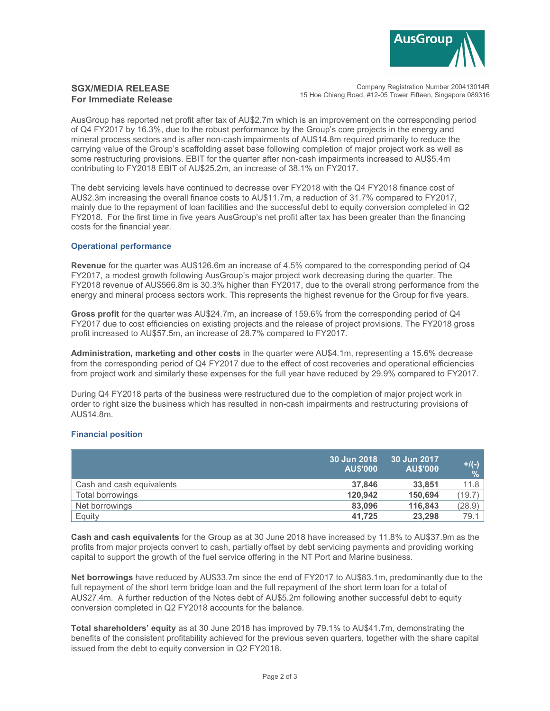

# SGX/MEDIA RELEASE For Immediate Release

Company Registration Number 200413014R 15 Hoe Chiang Road, #12-05 Tower Fifteen, Singapore 089316

AusGroup has reported net profit after tax of AU\$2.7m which is an improvement on the corresponding period of Q4 FY2017 by 16.3%, due to the robust performance by the Group's core projects in the energy and mineral process sectors and is after non-cash impairments of AU\$14.8m required primarily to reduce the carrying value of the Group's scaffolding asset base following completion of major project work as well as some restructuring provisions. EBIT for the quarter after non-cash impairments increased to AU\$5.4m contributing to FY2018 EBIT of AU\$25.2m, an increase of 38.1% on FY2017.

The debt servicing levels have continued to decrease over FY2018 with the Q4 FY2018 finance cost of AU\$2.3m increasing the overall finance costs to AU\$11.7m, a reduction of 31.7% compared to FY2017, mainly due to the repayment of loan facilities and the successful debt to equity conversion completed in Q2 FY2018. For the first time in five years AusGroup's net profit after tax has been greater than the financing costs for the financial year.

#### Operational performance

Revenue for the quarter was AU\$126.6m an increase of 4.5% compared to the corresponding period of Q4 FY2017, a modest growth following AusGroup's major project work decreasing during the quarter. The FY2018 revenue of AU\$566.8m is 30.3% higher than FY2017, due to the overall strong performance from the energy and mineral process sectors work. This represents the highest revenue for the Group for five years.

Gross profit for the quarter was AU\$24.7m, an increase of 159.6% from the corresponding period of Q4 FY2017 due to cost efficiencies on existing projects and the release of project provisions. The FY2018 gross profit increased to AU\$57.5m, an increase of 28.7% compared to FY2017.

Administration, marketing and other costs in the quarter were AU\$4.1m, representing a 15.6% decrease from the corresponding period of Q4 FY2017 due to the effect of cost recoveries and operational efficiencies from project work and similarly these expenses for the full year have reduced by 29.9% compared to FY2017.

During Q4 FY2018 parts of the business were restructured due to the completion of major project work in order to right size the business which has resulted in non-cash impairments and restructuring provisions of AU\$14.8m.

## Financial position

|                           | 30 Jun 2018<br><b>AUS'000</b> | 30 Jun 2017<br><b>AU\$'000</b> | $^{+/(-)}_{\%}$ |
|---------------------------|-------------------------------|--------------------------------|-----------------|
| Cash and cash equivalents | 37.846                        | 33,851                         | 11.8            |
| Total borrowings          | 120.942                       | 150,694                        | (19.7)          |
| Net borrowings            | 83,096                        | 116,843                        | (28.9)          |
| Equity                    | 41.725                        | 23,298                         | 79.1            |

Cash and cash equivalents for the Group as at 30 June 2018 have increased by 11.8% to AU\$37.9m as the profits from major projects convert to cash, partially offset by debt servicing payments and providing working capital to support the growth of the fuel service offering in the NT Port and Marine business.

Net borrowings have reduced by AU\$33.7m since the end of FY2017 to AU\$83.1m, predominantly due to the full repayment of the short term bridge loan and the full repayment of the short term loan for a total of AU\$27.4m. A further reduction of the Notes debt of AU\$5.2m following another successful debt to equity conversion completed in Q2 FY2018 accounts for the balance.

Total shareholders' equity as at 30 June 2018 has improved by 79.1% to AU\$41.7m, demonstrating the benefits of the consistent profitability achieved for the previous seven quarters, together with the share capital issued from the debt to equity conversion in Q2 FY2018.